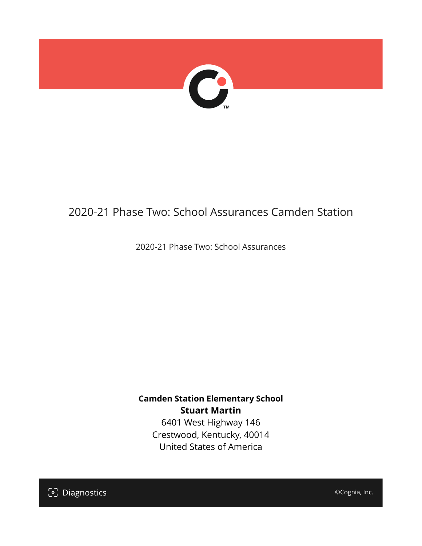

# 2020-21 Phase Two: School Assurances Camden Station

2020-21 Phase Two: School Assurances

**Camden Station Elementary School Stuart Martin**

6401 West Highway 146 Crestwood, Kentucky, 40014 United States of America

[၁] Diagnostics

©Cognia, Inc.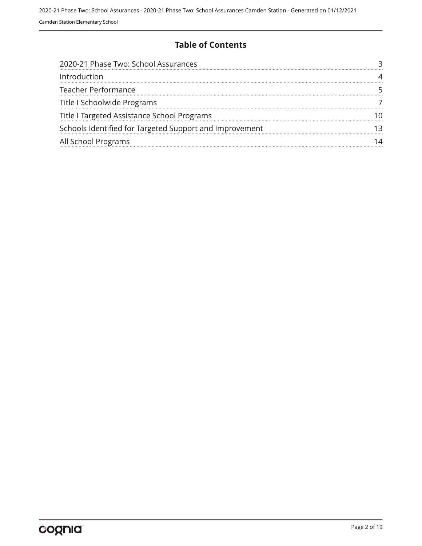#### **Table of Contents**

| 2020-21 Phase Two: School Assurances                    |  |
|---------------------------------------------------------|--|
| Introduction                                            |  |
| <b>Teacher Performance</b>                              |  |
| Title I Schoolwide Programs                             |  |
| Title I Targeted Assistance School Programs             |  |
| Schools Identified for Targeted Support and Improvement |  |
| All School Programs                                     |  |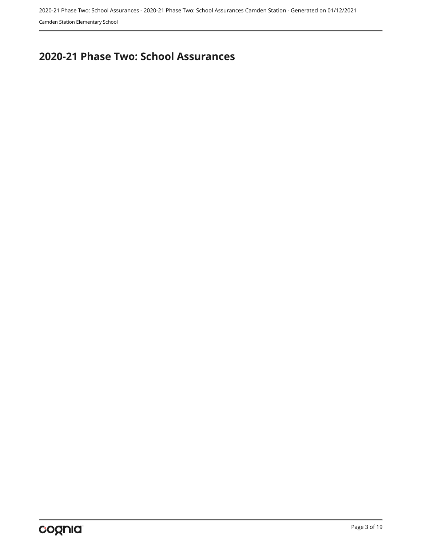2020-21 Phase Two: School Assurances - 2020-21 Phase Two: School Assurances Camden Station - Generated on 01/12/2021

Camden Station Elementary School

## <span id="page-2-0"></span>**2020-21 Phase Two: School Assurances**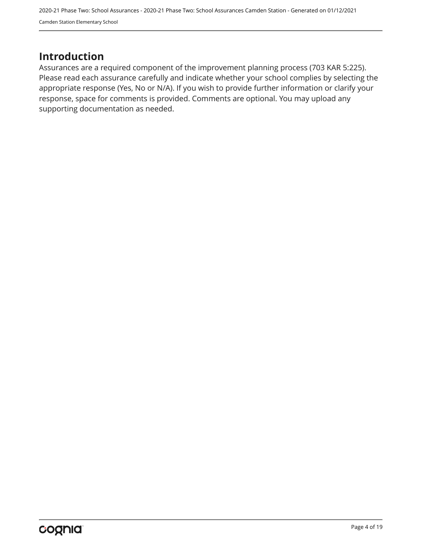2020-21 Phase Two: School Assurances - 2020-21 Phase Two: School Assurances Camden Station - Generated on 01/12/2021 Camden Station Elementary School

## <span id="page-3-0"></span>**Introduction**

Assurances are a required component of the improvement planning process (703 KAR 5:225). Please read each assurance carefully and indicate whether your school complies by selecting the appropriate response (Yes, No or N/A). If you wish to provide further information or clarify your response, space for comments is provided. Comments are optional. You may upload any supporting documentation as needed.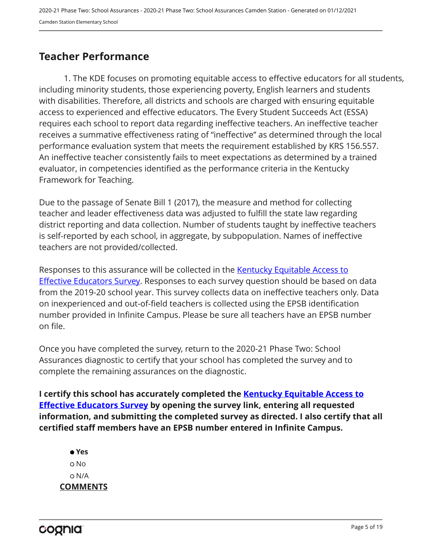## <span id="page-4-0"></span>**Teacher Performance**

1. The KDE focuses on promoting equitable access to effective educators for all students, including minority students, those experiencing poverty, English learners and students with disabilities. Therefore, all districts and schools are charged with ensuring equitable access to experienced and effective educators. The Every Student Succeeds Act (ESSA) requires each school to report data regarding ineffective teachers. An ineffective teacher receives a summative effectiveness rating of "ineffective" as determined through the local performance evaluation system that meets the requirement established by KRS 156.557. An ineffective teacher consistently fails to meet expectations as determined by a trained evaluator, in competencies identified as the performance criteria in the Kentucky Framework for Teaching.

Due to the passage of Senate Bill 1 (2017), the measure and method for collecting teacher and leader effectiveness data was adjusted to fulfill the state law regarding district reporting and data collection. Number of students taught by ineffective teachers is self-reported by each school, in aggregate, by subpopulation. Names of ineffective teachers are not provided/collected.

Responses to this assurance will be collected in the [Kentucky Equitable Access to](https://www.surveymonkey.com/r/PNPMCCV) **[Effective Educators Survey](https://www.surveymonkey.com/r/PNPMCCV).** Responses to each survey question should be based on data from the 2019-20 school year. This survey collects data on ineffective teachers only. Data on inexperienced and out-of-field teachers is collected using the EPSB identification number provided in Infinite Campus. Please be sure all teachers have an EPSB number on file.

Once you have completed the survey, return to the 2020-21 Phase Two: School Assurances diagnostic to certify that your school has completed the survey and to complete the remaining assurances on the diagnostic.

**I certify this school has accurately completed the [Kentucky Equitable Access to](https://www.surveymonkey.com/r/PNPMCCV) [Effective Educators Survey](https://www.surveymonkey.com/r/PNPMCCV) by opening the survey link, entering all requested information, and submitting the completed survey as directed. I also certify that all certified staff members have an EPSB number entered in Infinite Campus.**

 **Yes** No N/A **COMMENTS**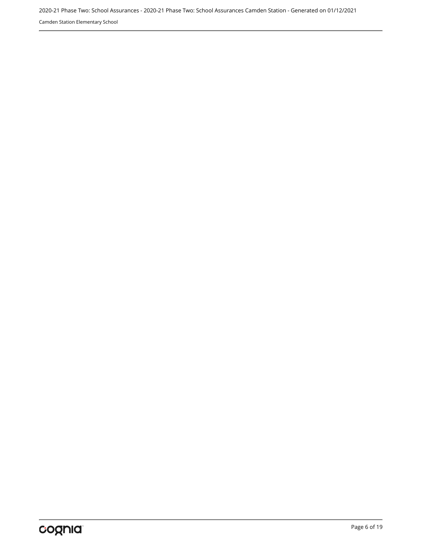Camden Station Elementary School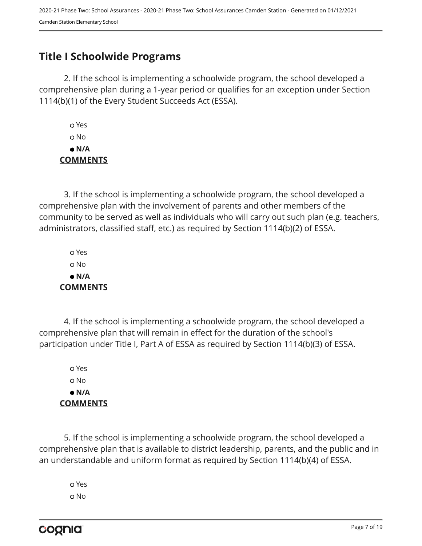## <span id="page-6-0"></span>**Title I Schoolwide Programs**

2. If the school is implementing a schoolwide program, the school developed a comprehensive plan during a 1-year period or qualifies for an exception under Section 1114(b)(1) of the Every Student Succeeds Act (ESSA).

 Yes o No  **N/A COMMENTS**

3. If the school is implementing a schoolwide program, the school developed a comprehensive plan with the involvement of parents and other members of the community to be served as well as individuals who will carry out such plan (e.g. teachers, administrators, classified staff, etc.) as required by Section 1114(b)(2) of ESSA.

 Yes o No  **N/A COMMENTS**

4. If the school is implementing a schoolwide program, the school developed a comprehensive plan that will remain in effect for the duration of the school's participation under Title I, Part A of ESSA as required by Section 1114(b)(3) of ESSA.

 Yes No  **N/A COMMENTS**

5. If the school is implementing a schoolwide program, the school developed a comprehensive plan that is available to district leadership, parents, and the public and in an understandable and uniform format as required by Section 1114(b)(4) of ESSA.

 Yes o No

cognia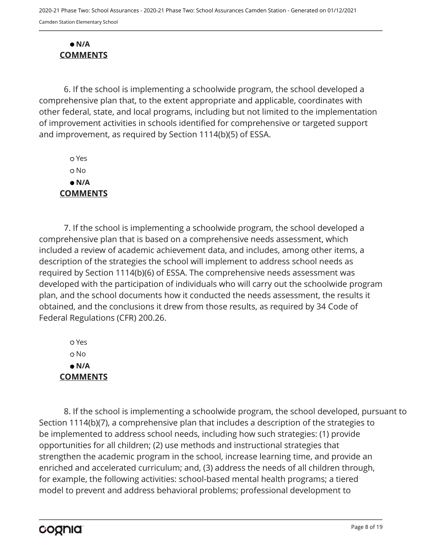#### **N/A COMMENTS**

6. If the school is implementing a schoolwide program, the school developed a comprehensive plan that, to the extent appropriate and applicable, coordinates with other federal, state, and local programs, including but not limited to the implementation of improvement activities in schools identified for comprehensive or targeted support and improvement, as required by Section 1114(b)(5) of ESSA.

 Yes No  **N/A COMMENTS**

7. If the school is implementing a schoolwide program, the school developed a comprehensive plan that is based on a comprehensive needs assessment, which included a review of academic achievement data, and includes, among other items, a description of the strategies the school will implement to address school needs as required by Section 1114(b)(6) of ESSA. The comprehensive needs assessment was developed with the participation of individuals who will carry out the schoolwide program plan, and the school documents how it conducted the needs assessment, the results it obtained, and the conclusions it drew from those results, as required by 34 Code of Federal Regulations (CFR) 200.26.

 Yes No  **N/A COMMENTS**

8. If the school is implementing a schoolwide program, the school developed, pursuant to Section 1114(b)(7), a comprehensive plan that includes a description of the strategies to be implemented to address school needs, including how such strategies: (1) provide opportunities for all children; (2) use methods and instructional strategies that strengthen the academic program in the school, increase learning time, and provide an enriched and accelerated curriculum; and, (3) address the needs of all children through, for example, the following activities: school-based mental health programs; a tiered model to prevent and address behavioral problems; professional development to

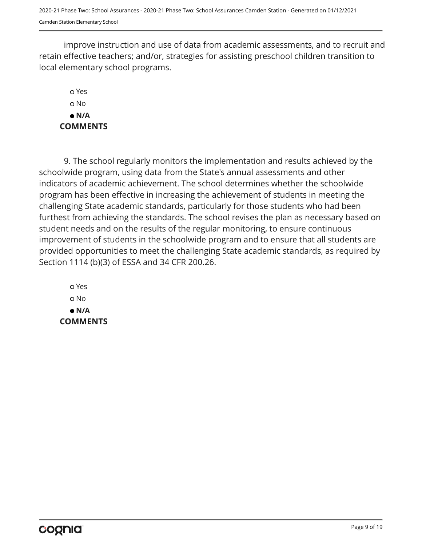improve instruction and use of data from academic assessments, and to recruit and retain effective teachers; and/or, strategies for assisting preschool children transition to local elementary school programs.

### Yes o No  **N/A COMMENTS**

9. The school regularly monitors the implementation and results achieved by the schoolwide program, using data from the State's annual assessments and other indicators of academic achievement. The school determines whether the schoolwide program has been effective in increasing the achievement of students in meeting the challenging State academic standards, particularly for those students who had been furthest from achieving the standards. The school revises the plan as necessary based on student needs and on the results of the regular monitoring, to ensure continuous improvement of students in the schoolwide program and to ensure that all students are provided opportunities to meet the challenging State academic standards, as required by Section 1114 (b)(3) of ESSA and 34 CFR 200.26.

 Yes o No  **N/A COMMENTS**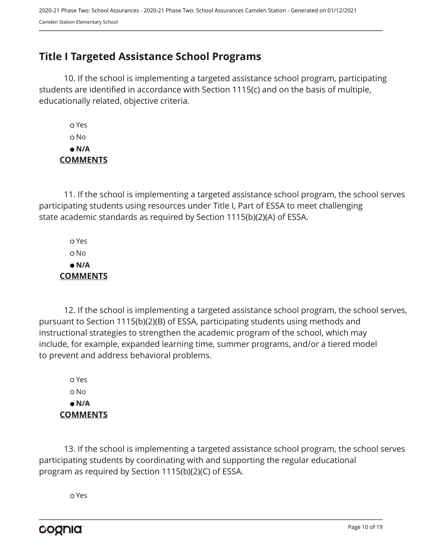# <span id="page-9-0"></span>**Title I Targeted Assistance School Programs**

10. If the school is implementing a targeted assistance school program, participating students are identified in accordance with Section 1115(c) and on the basis of multiple, educationally related, objective criteria.

 Yes o No  **N/A COMMENTS**

11. If the school is implementing a targeted assistance school program, the school serves participating students using resources under Title I, Part of ESSA to meet challenging state academic standards as required by Section 1115(b)(2)(A) of ESSA.

 Yes No  **N/A COMMENTS**

12. If the school is implementing a targeted assistance school program, the school serves, pursuant to Section 1115(b)(2)(B) of ESSA, participating students using methods and instructional strategies to strengthen the academic program of the school, which may include, for example, expanded learning time, summer programs, and/or a tiered model to prevent and address behavioral problems.

 Yes o No  **N/A COMMENTS**

13. If the school is implementing a targeted assistance school program, the school serves participating students by coordinating with and supporting the regular educational program as required by Section 1115(b)(2)(C) of ESSA.

Yes

cognia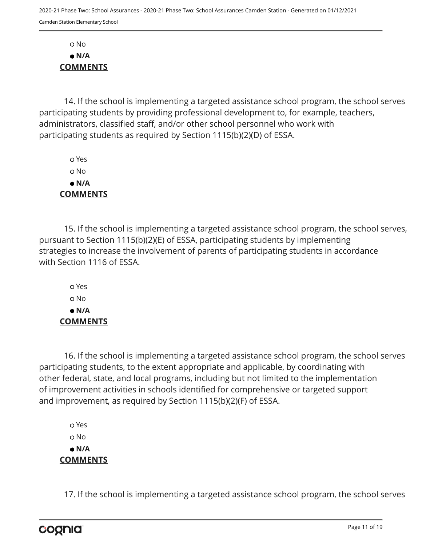No  **N/A COMMENTS**

14. If the school is implementing a targeted assistance school program, the school serves participating students by providing professional development to, for example, teachers, administrators, classified staff, and/or other school personnel who work with participating students as required by Section 1115(b)(2)(D) of ESSA.

 Yes No  **N/A COMMENTS**

15. If the school is implementing a targeted assistance school program, the school serves, pursuant to Section 1115(b)(2)(E) of ESSA, participating students by implementing strategies to increase the involvement of parents of participating students in accordance with Section 1116 of ESSA.

 Yes o No  **N/A COMMENTS**

16. If the school is implementing a targeted assistance school program, the school serves participating students, to the extent appropriate and applicable, by coordinating with other federal, state, and local programs, including but not limited to the implementation of improvement activities in schools identified for comprehensive or targeted support and improvement, as required by Section 1115(b)(2)(F) of ESSA.

 Yes o No  **N/A COMMENTS**

17. If the school is implementing a targeted assistance school program, the school serves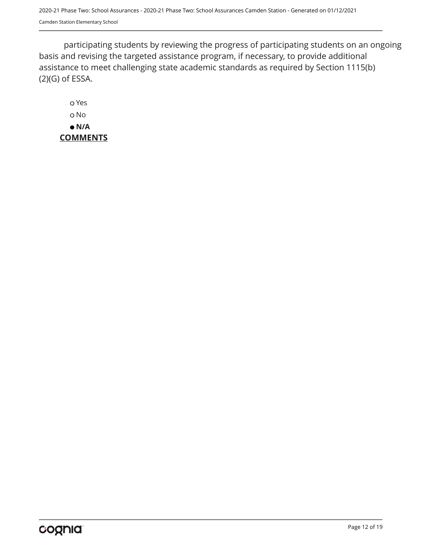participating students by reviewing the progress of participating students on an ongoing basis and revising the targeted assistance program, if necessary, to provide additional assistance to meet challenging state academic standards as required by Section 1115(b) (2)(G) of ESSA.

 Yes o No  **N/A COMMENTS**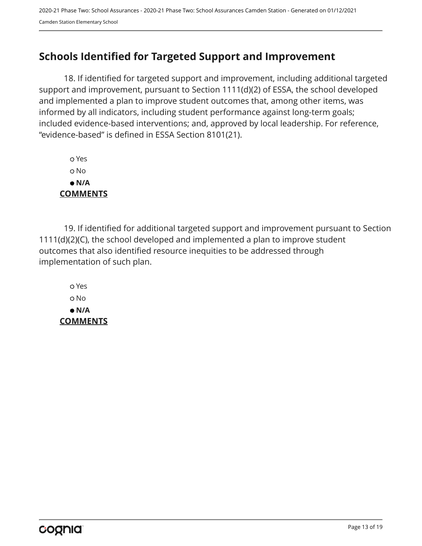# <span id="page-12-0"></span>**Schools Identified for Targeted Support and Improvement**

18. If identified for targeted support and improvement, including additional targeted support and improvement, pursuant to Section 1111(d)(2) of ESSA, the school developed and implemented a plan to improve student outcomes that, among other items, was informed by all indicators, including student performance against long-term goals; included evidence-based interventions; and, approved by local leadership. For reference, "evidence-based" is defined in ESSA Section 8101(21).

 Yes No  **N/A COMMENTS**

19. If identified for additional targeted support and improvement pursuant to Section 1111(d)(2)(C), the school developed and implemented a plan to improve student outcomes that also identified resource inequities to be addressed through implementation of such plan.

 Yes No  **N/A COMMENTS**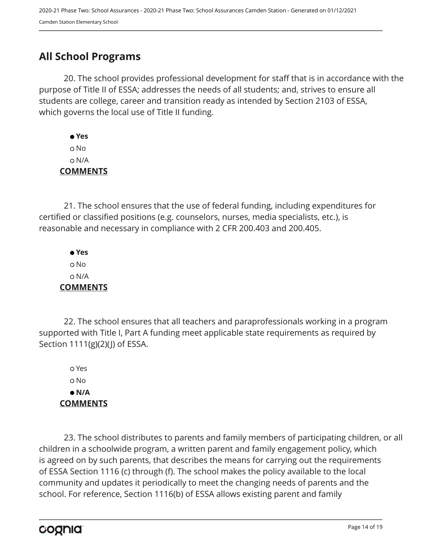# <span id="page-13-0"></span>**All School Programs**

20. The school provides professional development for staff that is in accordance with the purpose of Title II of ESSA; addresses the needs of all students; and, strives to ensure all students are college, career and transition ready as intended by Section 2103 of ESSA, which governs the local use of Title II funding.

 **Yes** No N/A **COMMENTS**

21. The school ensures that the use of federal funding, including expenditures for certified or classified positions (e.g. counselors, nurses, media specialists, etc.), is reasonable and necessary in compliance with 2 CFR 200.403 and 200.405.

 **Yes** No N/A **COMMENTS**

22. The school ensures that all teachers and paraprofessionals working in a program supported with Title I, Part A funding meet applicable state requirements as required by Section 1111(g)(2)(J) of ESSA.

 Yes No  **N/A COMMENTS**

23. The school distributes to parents and family members of participating children, or all children in a schoolwide program, a written parent and family engagement policy, which is agreed on by such parents, that describes the means for carrying out the requirements of ESSA Section 1116 (c) through (f). The school makes the policy available to the local community and updates it periodically to meet the changing needs of parents and the school. For reference, Section 1116(b) of ESSA allows existing parent and family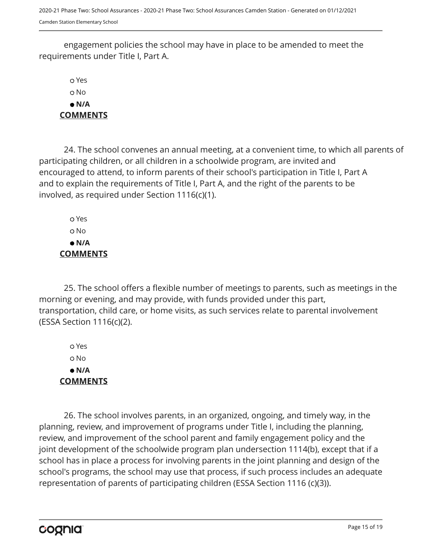engagement policies the school may have in place to be amended to meet the requirements under Title I, Part A.

 Yes No  **N/A COMMENTS**

24. The school convenes an annual meeting, at a convenient time, to which all parents of participating children, or all children in a schoolwide program, are invited and encouraged to attend, to inform parents of their school's participation in Title I, Part A and to explain the requirements of Title I, Part A, and the right of the parents to be involved, as required under Section 1116(c)(1).

 Yes No  **N/A COMMENTS**

25. The school offers a flexible number of meetings to parents, such as meetings in the morning or evening, and may provide, with funds provided under this part, transportation, child care, or home visits, as such services relate to parental involvement (ESSA Section 1116(c)(2).

 Yes No  **N/A COMMENTS**

26. The school involves parents, in an organized, ongoing, and timely way, in the planning, review, and improvement of programs under Title I, including the planning, review, and improvement of the school parent and family engagement policy and the joint development of the schoolwide program plan undersection 1114(b), except that if a school has in place a process for involving parents in the joint planning and design of the school's programs, the school may use that process, if such process includes an adequate representation of parents of participating children (ESSA Section 1116 (c)(3)).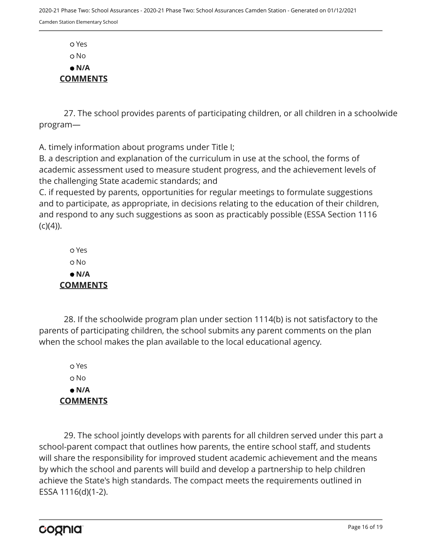Yes o No  **N/A COMMENTS**

27. The school provides parents of participating children, or all children in a schoolwide program—

A. timely information about programs under Title I;

B. a description and explanation of the curriculum in use at the school, the forms of academic assessment used to measure student progress, and the achievement levels of the challenging State academic standards; and

C. if requested by parents, opportunities for regular meetings to formulate suggestions and to participate, as appropriate, in decisions relating to the education of their children, and respond to any such suggestions as soon as practicably possible (ESSA Section 1116  $(C)(4)$ ).

 Yes o No  **N/A COMMENTS**

28. If the schoolwide program plan under section 1114(b) is not satisfactory to the parents of participating children, the school submits any parent comments on the plan when the school makes the plan available to the local educational agency.

 Yes o No  **N/A COMMENTS**

29. The school jointly develops with parents for all children served under this part a school-parent compact that outlines how parents, the entire school staff, and students will share the responsibility for improved student academic achievement and the means by which the school and parents will build and develop a partnership to help children achieve the State's high standards. The compact meets the requirements outlined in ESSA 1116(d)(1-2).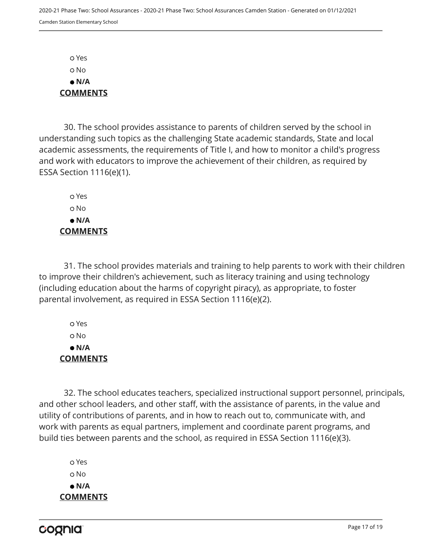Yes No  **N/A COMMENTS**

30. The school provides assistance to parents of children served by the school in understanding such topics as the challenging State academic standards, State and local academic assessments, the requirements of Title I, and how to monitor a child's progress and work with educators to improve the achievement of their children, as required by ESSA Section 1116(e)(1).

 Yes o No  **N/A COMMENTS**

31. The school provides materials and training to help parents to work with their children to improve their children's achievement, such as literacy training and using technology (including education about the harms of copyright piracy), as appropriate, to foster parental involvement, as required in ESSA Section 1116(e)(2).

 Yes No  **N/A COMMENTS**

32. The school educates teachers, specialized instructional support personnel, principals, and other school leaders, and other staff, with the assistance of parents, in the value and utility of contributions of parents, and in how to reach out to, communicate with, and work with parents as equal partners, implement and coordinate parent programs, and build ties between parents and the school, as required in ESSA Section 1116(e)(3).

 Yes o No  **N/A COMMENTS**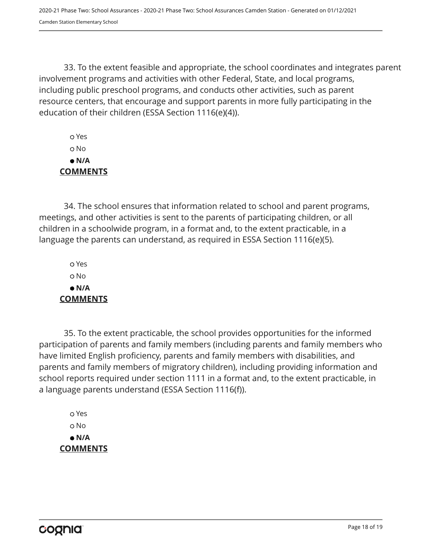33. To the extent feasible and appropriate, the school coordinates and integrates parent involvement programs and activities with other Federal, State, and local programs, including public preschool programs, and conducts other activities, such as parent resource centers, that encourage and support parents in more fully participating in the education of their children (ESSA Section 1116(e)(4)).

 Yes No  **N/A COMMENTS**

34. The school ensures that information related to school and parent programs, meetings, and other activities is sent to the parents of participating children, or all children in a schoolwide program, in a format and, to the extent practicable, in a language the parents can understand, as required in ESSA Section 1116(e)(5).

 Yes o No  **N/A COMMENTS**

35. To the extent practicable, the school provides opportunities for the informed participation of parents and family members (including parents and family members who have limited English proficiency, parents and family members with disabilities, and parents and family members of migratory children), including providing information and school reports required under section 1111 in a format and, to the extent practicable, in a language parents understand (ESSA Section 1116(f)).

 Yes No  **N/A COMMENTS**